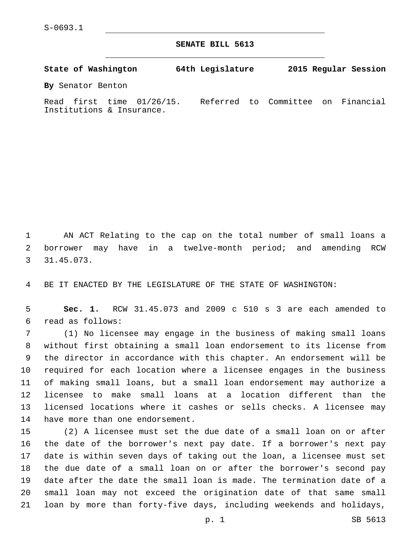Institutions & Insurance.

**SENATE BILL 5613**

**State of Washington 64th Legislature 2015 Regular Session By** Senator Benton Read first time 01/26/15. Referred to Committee on Financial

 AN ACT Relating to the cap on the total number of small loans a borrower may have in a twelve-month period; and amending RCW 31.45.073.3

BE IT ENACTED BY THE LEGISLATURE OF THE STATE OF WASHINGTON:

 **Sec. 1.** RCW 31.45.073 and 2009 c 510 s 3 are each amended to read as follows:6

 (1) No licensee may engage in the business of making small loans without first obtaining a small loan endorsement to its license from the director in accordance with this chapter. An endorsement will be required for each location where a licensee engages in the business of making small loans, but a small loan endorsement may authorize a licensee to make small loans at a location different than the licensed locations where it cashes or sells checks. A licensee may 14 have more than one endorsement.

 (2) A licensee must set the due date of a small loan on or after the date of the borrower's next pay date. If a borrower's next pay date is within seven days of taking out the loan, a licensee must set the due date of a small loan on or after the borrower's second pay date after the date the small loan is made. The termination date of a small loan may not exceed the origination date of that same small loan by more than forty-five days, including weekends and holidays,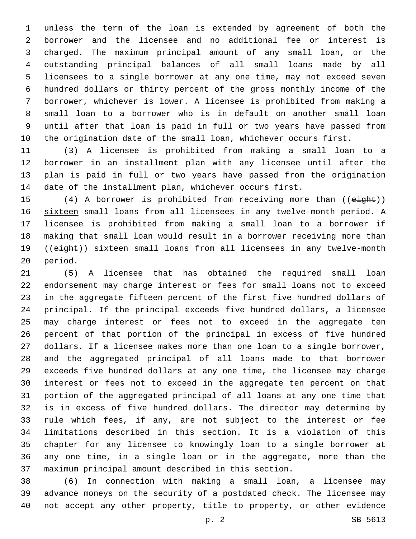unless the term of the loan is extended by agreement of both the borrower and the licensee and no additional fee or interest is charged. The maximum principal amount of any small loan, or the outstanding principal balances of all small loans made by all licensees to a single borrower at any one time, may not exceed seven hundred dollars or thirty percent of the gross monthly income of the borrower, whichever is lower. A licensee is prohibited from making a small loan to a borrower who is in default on another small loan until after that loan is paid in full or two years have passed from the origination date of the small loan, whichever occurs first.

 (3) A licensee is prohibited from making a small loan to a borrower in an installment plan with any licensee until after the plan is paid in full or two years have passed from the origination date of the installment plan, whichever occurs first.

15 (4) A borrower is prohibited from receiving more than ((eight)) sixteen small loans from all licensees in any twelve-month period. A licensee is prohibited from making a small loan to a borrower if making that small loan would result in a borrower receiving more than 19 ((eight)) sixteen small loans from all licensees in any twelve-month 20 period.

 (5) A licensee that has obtained the required small loan endorsement may charge interest or fees for small loans not to exceed in the aggregate fifteen percent of the first five hundred dollars of principal. If the principal exceeds five hundred dollars, a licensee may charge interest or fees not to exceed in the aggregate ten percent of that portion of the principal in excess of five hundred dollars. If a licensee makes more than one loan to a single borrower, and the aggregated principal of all loans made to that borrower exceeds five hundred dollars at any one time, the licensee may charge interest or fees not to exceed in the aggregate ten percent on that portion of the aggregated principal of all loans at any one time that is in excess of five hundred dollars. The director may determine by rule which fees, if any, are not subject to the interest or fee limitations described in this section. It is a violation of this chapter for any licensee to knowingly loan to a single borrower at any one time, in a single loan or in the aggregate, more than the maximum principal amount described in this section.

 (6) In connection with making a small loan, a licensee may advance moneys on the security of a postdated check. The licensee may not accept any other property, title to property, or other evidence

p. 2 SB 5613